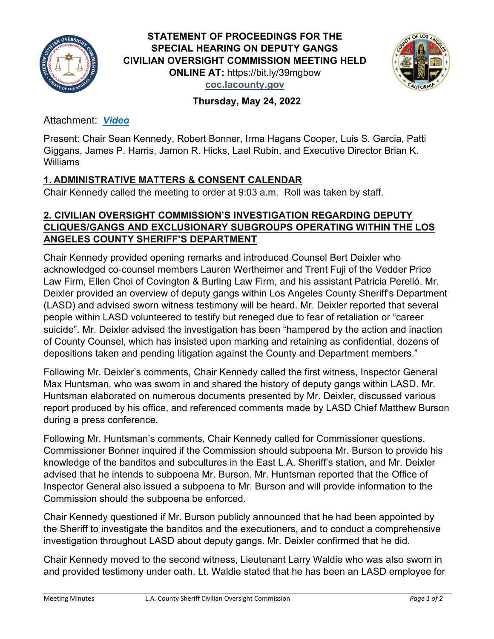



# **Thursday, May 24, 2022**

Attachment[:](https://lacountyboardofsupervisors.webex.com/lacountyboardofsupervisors/lsr.php?RCID=0a43e3204991429dbbf0354644909aec) *[Video](https://youtu.be/95n8bM-37ZE)*

Present: Chair Sean Kennedy, Robert Bonner, Irma Hagans Cooper, Luis S. Garcia, Patti Giggans, James P. Harris, Jamon R. Hicks, Lael Rubin, and Executive Director Brian K. Williams

## **1. ADMINISTRATIVE MATTERS & CONSENT CALENDAR**

Chair Kennedy called the meeting to order at 9:03 a.m. Roll was taken by staff.

## **2. CIVILIAN OVERSIGHT COMMISSION'S INVESTIGATION REGARDING DEPUTY CLIQUES/GANGS AND EXCLUSIONARY SUBGROUPS OPERATING WITHIN THE LOS ANGELES COUNTY SHERIFF'S DEPARTMENT**

Chair Kennedy provided opening remarks and introduced Counsel Bert Deixler who acknowledged co-counsel members Lauren Wertheimer and Trent Fuji of the Vedder Price Law Firm, Ellen Choi of Covington & Burling Law Firm, and his assistant Patricia Perelló. Mr. Deixler provided an overview of deputy gangs within Los Angeles County Sheriff's Department (LASD) and advised sworn witness testimony will be heard. Mr. Deixler reported that several people within LASD volunteered to testify but reneged due to fear of retaliation or "career suicide". Mr. Deixler advised the investigation has been "hampered by the action and inaction of County Counsel, which has insisted upon marking and retaining as confidential, dozens of depositions taken and pending litigation against the County and Department members."

Following Mr. Deixler's comments, Chair Kennedy called the first witness, Inspector General Max Huntsman, who was sworn in and shared the history of deputy gangs within LASD. Mr. Huntsman elaborated on numerous documents presented by Mr. Deixler, discussed various report produced by his office, and referenced comments made by LASD Chief Matthew Burson during a press conference.

Following Mr. Huntsman's comments, Chair Kennedy called for Commissioner questions. Commissioner Bonner inquired if the Commission should subpoena Mr. Burson to provide his knowledge of the banditos and subcultures in the East L.A. Sheriff's station, and Mr. Deixler advised that he intends to subpoena Mr. Burson. Mr. Huntsman reported that the Office of Inspector General also issued a subpoena to Mr. Burson and will provide information to the Commission should the subpoena be enforced.

Chair Kennedy questioned if Mr. Burson publicly announced that he had been appointed by the Sheriff to investigate the banditos and the executioners, and to conduct a comprehensive investigation throughout LASD about deputy gangs. Mr. Deixler confirmed that he did.

Chair Kennedy moved to the second witness, Lieutenant Larry Waldie who was also sworn in and provided testimony under oath. Lt. Waldie stated that he has been an LASD employee for